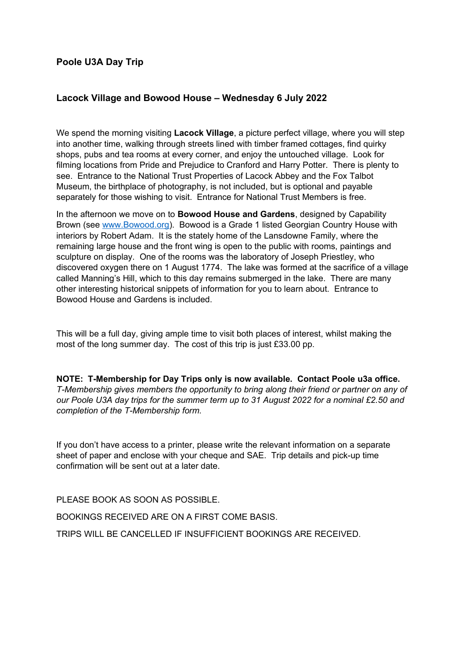## **Poole U3A Day Trip**

## **Lacock Village and Bowood House – Wednesday 6 July 2022**

We spend the morning visiting **Lacock Village**, a picture perfect village, where you will step into another time, walking through streets lined with timber framed cottages, find quirky shops, pubs and tea rooms at every corner, and enjoy the untouched village. Look for filming locations from Pride and Prejudice to Cranford and Harry Potter. There is plenty to see. Entrance to the National Trust Properties of Lacock Abbey and the Fox Talbot Museum, the birthplace of photography, is not included, but is optional and payable separately for those wishing to visit. Entrance for National Trust Members is free.

In the afternoon we move on to **Bowood House and Gardens**, designed by Capability Brown (see [www.Bowood.org](http://www.Bowood.org/)). Bowood is a Grade 1 listed Georgian Country House with interiors by Robert Adam. It is the stately home of the Lansdowne Family, where the remaining large house and the front wing is open to the public with rooms, paintings and sculpture on display. One of the rooms was the laboratory of Joseph Priestley, who discovered oxygen there on 1 August 1774. The lake was formed at the sacrifice of a village called Manning's Hill, which to this day remains submerged in the lake. There are many other interesting historical snippets of information for you to learn about. Entrance to Bowood House and Gardens is included.

This will be a full day, giving ample time to visit both places of interest, whilst making the most of the long summer day. The cost of this trip is just £33.00 pp.

**NOTE: T-Membership for Day Trips only is now available. Contact Poole u3a office.**  *T-Membership gives members the opportunity to bring along their friend or partner on any of our Poole U3A day trips for the summer term up to 31 August 2022 for a nominal £2.50 and completion of the T-Membership form.*

If you don't have access to a printer, please write the relevant information on a separate sheet of paper and enclose with your cheque and SAE. Trip details and pick-up time confirmation will be sent out at a later date.

PLEASE BOOK AS SOON AS POSSIBLE.

BOOKINGS RECEIVED ARE ON A FIRST COME BASIS.

TRIPS WILL BE CANCELLED IF INSUFFICIENT BOOKINGS ARE RECEIVED.